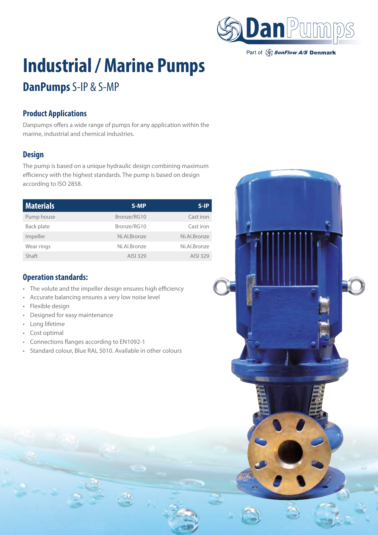

Part of SonFlow A/S Denmark

# **Industrial / Marine Pumps**

## **DanPumps** S-IP & S-MP

### **Product Applications**

Danpumps offers a wide range of pumps for any application within the marine, industrial and chemical industries.

#### **Design**

The pump is based on a unique hydraulic design combining maximum efficiency with the highest standards. The pump is based on design according to ISO 2858.

| <b>Materials</b> | S-MP         | $S-IP$       |
|------------------|--------------|--------------|
| Pump house       | Bronze/RG10  | Cast iron    |
| Back plate       | Bronze/RG10  | Cast iron    |
| Impeller         | Ni.Al.Bronze | Ni.Al.Bronze |
| Wear rings       | Ni.Al.Bronze | Ni.Al.Bronze |
| Shaft            | AISI 329     | AISI 329     |

#### **Operation standards:**

- The volute and the impeller design ensures high efficiency
- Accurate balancing ensures a very low noise level
- Flexible design
- Designed for easy maintenance
- Long lifetime
- Cost optimal
- Connections flanges according to EN1092-1
- Standard colour, Blue RAL 5010. Available in other colours